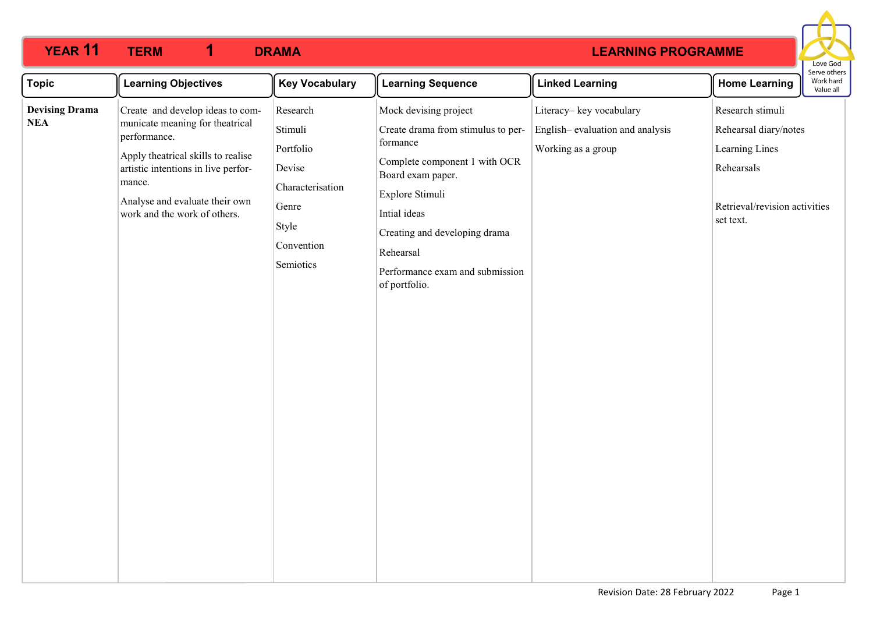#### **YEAR 11 TERM 1 DRAMA 1**

## **LEARNING PROGRAMME**



| <b>Topic</b>                        | <b>Learning Objectives</b>                                                                                                                                                                                                                   | <b>Key Vocabulary</b>                                                                                       | <b>Learning Sequence</b>                                                                                                                                                                                                                                           | <b>Linked Learning</b>                                                           | <b>Home Learning</b>                                                                                                    | Serve other<br>Work hard<br>Value all |
|-------------------------------------|----------------------------------------------------------------------------------------------------------------------------------------------------------------------------------------------------------------------------------------------|-------------------------------------------------------------------------------------------------------------|--------------------------------------------------------------------------------------------------------------------------------------------------------------------------------------------------------------------------------------------------------------------|----------------------------------------------------------------------------------|-------------------------------------------------------------------------------------------------------------------------|---------------------------------------|
| <b>Devising Drama</b><br><b>NEA</b> | Create and develop ideas to com-<br>municate meaning for theatrical<br>performance.<br>Apply theatrical skills to realise<br>artistic intentions in live perfor-<br>mance.<br>Analyse and evaluate their own<br>work and the work of others. | Research<br>Stimuli<br>Portfolio<br>Devise<br>Characterisation<br>Genre<br>Style<br>Convention<br>Semiotics | Mock devising project<br>Create drama from stimulus to per-<br>formance<br>Complete component 1 with OCR<br>Board exam paper.<br>Explore Stimuli<br>Intial ideas<br>Creating and developing drama<br>Rehearsal<br>Performance exam and submission<br>of portfolio. | Literacy-key vocabulary<br>English-evaluation and analysis<br>Working as a group | Research stimuli<br>Rehearsal diary/notes<br>Learning Lines<br>Rehearsals<br>Retrieval/revision activities<br>set text. |                                       |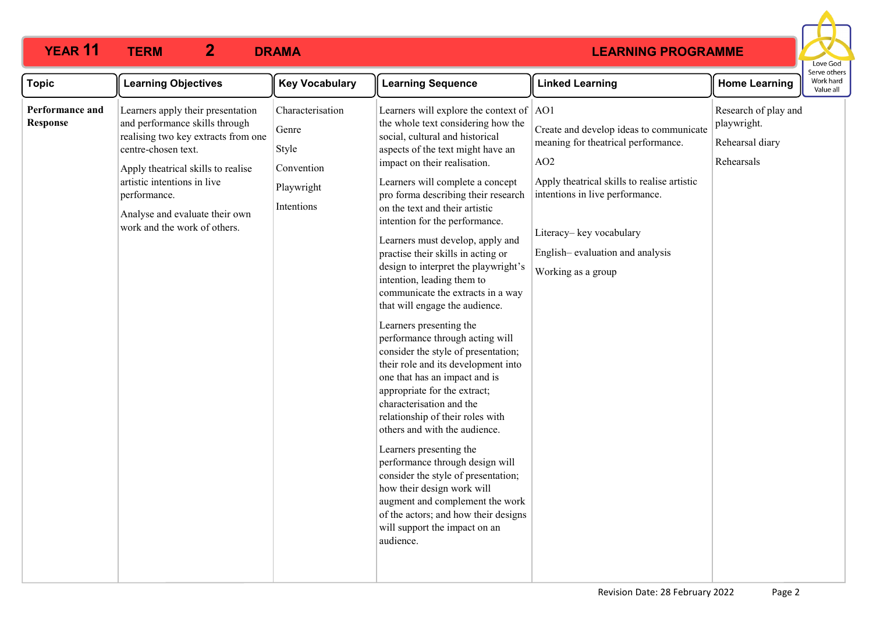### **YEAR 11 TERM 2 DRAMA 2**

# **LEARNING PROGRAMME**



| <b>Topic</b>                       | <b>Learning Objectives</b>                                                                                                                                                                                                                                                               | <b>Key Vocabulary</b>                                                        | <b>Learning Sequence</b>                                                                                                                                                                                                                                                                                                                                                                                                                                                                                                                                                                                                                                                                                                                                                                                                                                                                                                                                                                                                                                                                                                                   | <b>Linked Learning</b>                                                                                                                                                                                                                                                  | <b>Home Learning</b>                                                 | יכו עכ טנווכו<br>Work hard<br>Value all |
|------------------------------------|------------------------------------------------------------------------------------------------------------------------------------------------------------------------------------------------------------------------------------------------------------------------------------------|------------------------------------------------------------------------------|--------------------------------------------------------------------------------------------------------------------------------------------------------------------------------------------------------------------------------------------------------------------------------------------------------------------------------------------------------------------------------------------------------------------------------------------------------------------------------------------------------------------------------------------------------------------------------------------------------------------------------------------------------------------------------------------------------------------------------------------------------------------------------------------------------------------------------------------------------------------------------------------------------------------------------------------------------------------------------------------------------------------------------------------------------------------------------------------------------------------------------------------|-------------------------------------------------------------------------------------------------------------------------------------------------------------------------------------------------------------------------------------------------------------------------|----------------------------------------------------------------------|-----------------------------------------|
| Performance and<br><b>Response</b> | Learners apply their presentation<br>and performance skills through<br>realising two key extracts from one<br>centre-chosen text.<br>Apply theatrical skills to realise<br>artistic intentions in live<br>performance.<br>Analyse and evaluate their own<br>work and the work of others. | Characterisation<br>Genre<br>Style<br>Convention<br>Playwright<br>Intentions | Learners will explore the context of $ AO1 $<br>the whole text considering how the<br>social, cultural and historical<br>aspects of the text might have an<br>impact on their realisation.<br>Learners will complete a concept<br>pro forma describing their research<br>on the text and their artistic<br>intention for the performance.<br>Learners must develop, apply and<br>practise their skills in acting or<br>design to interpret the playwright's<br>intention, leading them to<br>communicate the extracts in a way<br>that will engage the audience.<br>Learners presenting the<br>performance through acting will<br>consider the style of presentation;<br>their role and its development into<br>one that has an impact and is<br>appropriate for the extract;<br>characterisation and the<br>relationship of their roles with<br>others and with the audience.<br>Learners presenting the<br>performance through design will<br>consider the style of presentation;<br>how their design work will<br>augment and complement the work<br>of the actors; and how their designs<br>will support the impact on an<br>audience. | Create and develop ideas to communicate<br>meaning for theatrical performance.<br>AO <sub>2</sub><br>Apply theatrical skills to realise artistic<br>intentions in live performance.<br>Literacy-key vocabulary<br>English-evaluation and analysis<br>Working as a group | Research of play and<br>playwright.<br>Rehearsal diary<br>Rehearsals |                                         |